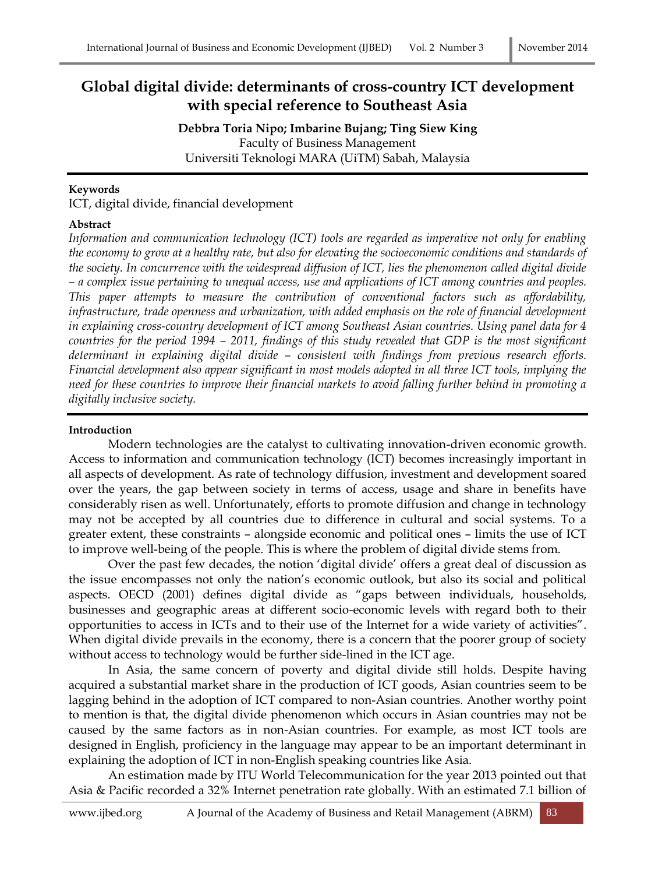# **Global digital divide: determinants of cross-country ICT development with special reference to Southeast Asia**

**Debbra Toria Nipo; Imbarine Bujang; Ting Siew King** Faculty of Business Management Universiti Teknologi MARA (UiTM) Sabah, Malaysia

#### **Keywords**

ICT, digital divide, financial development

#### **Abstract**

*Information and communication technology (ICT) tools are regarded as imperative not only for enabling the economy to grow at a healthy rate, but also for elevating the socioeconomic conditions and standards of the society. In concurrence with the widespread diffusion of ICT, lies the phenomenon called digital divide – a complex issue pertaining to unequal access, use and applications of ICT among countries and peoples. This paper attempts to measure the contribution of conventional factors such as affordability, infrastructure, trade openness and urbanization, with added emphasis on the role of financial development in explaining cross-country development of ICT among Southeast Asian countries. Using panel data for 4 countries for the period 1994 – 2011, findings of this study revealed that GDP is the most significant determinant in explaining digital divide – consistent with findings from previous research efforts. Financial development also appear significant in most models adopted in all three ICT tools, implying the need for these countries to improve their financial markets to avoid falling further behind in promoting a digitally inclusive society.*

#### **Introduction**

Modern technologies are the catalyst to cultivating innovation-driven economic growth. Access to information and communication technology (ICT) becomes increasingly important in all aspects of development. As rate of technology diffusion, investment and development soared over the years, the gap between society in terms of access, usage and share in benefits have considerably risen as well. Unfortunately, efforts to promote diffusion and change in technology may not be accepted by all countries due to difference in cultural and social systems. To a greater extent, these constraints – alongside economic and political ones – limits the use of ICT to improve well-being of the people. This is where the problem of digital divide stems from.

Over the past few decades, the notion 'digital divide' offers a great deal of discussion as the issue encompasses not only the nation's economic outlook, but also its social and political aspects. OECD (2001) defines digital divide as "gaps between individuals, households, businesses and geographic areas at different socio-economic levels with regard both to their opportunities to access in ICTs and to their use of the Internet for a wide variety of activities". When digital divide prevails in the economy, there is a concern that the poorer group of society without access to technology would be further side-lined in the ICT age.

In Asia, the same concern of poverty and digital divide still holds. Despite having acquired a substantial market share in the production of ICT goods, Asian countries seem to be lagging behind in the adoption of ICT compared to non-Asian countries. Another worthy point to mention is that, the digital divide phenomenon which occurs in Asian countries may not be caused by the same factors as in non-Asian countries. For example, as most ICT tools are designed in English, proficiency in the language may appear to be an important determinant in explaining the adoption of ICT in non-English speaking countries like Asia.

An estimation made by ITU World Telecommunication for the year 2013 pointed out that Asia & Pacific recorded a 32% Internet penetration rate globally. With an estimated 7.1 billion of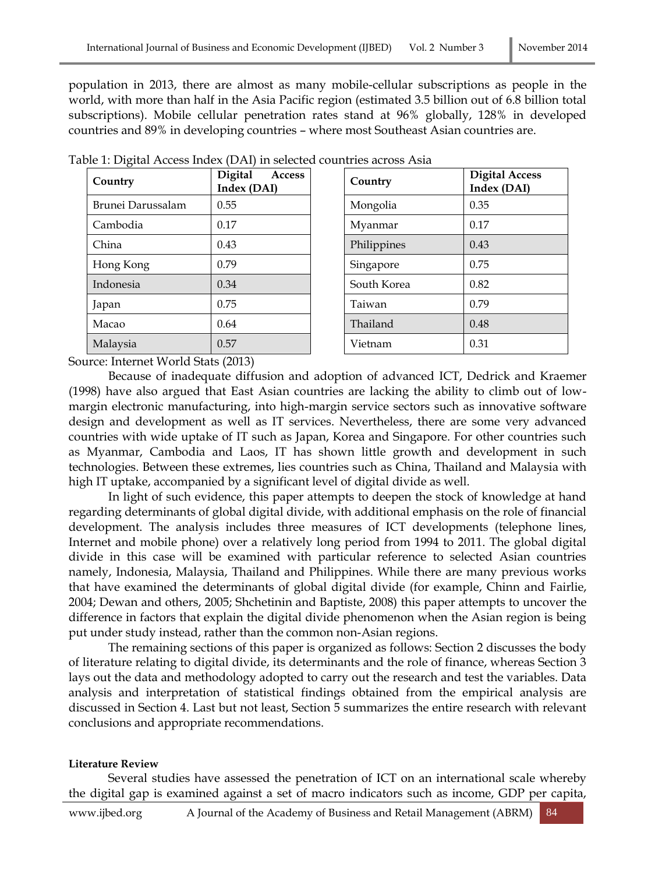population in 2013, there are almost as many mobile-cellular subscriptions as people in the world, with more than half in the Asia Pacific region (estimated 3.5 billion out of 6.8 billion total subscriptions). Mobile cellular penetration rates stand at 96% globally, 128% in developed countries and 89% in developing countries – where most Southeast Asian countries are.

| Country           | <b>Digital</b><br><b>Access</b><br>Index (DAI) | Country     | Dig<br>Ind |
|-------------------|------------------------------------------------|-------------|------------|
| Brunei Darussalam | 0.55                                           | Mongolia    | 0.35       |
| Cambodia          | 0.17                                           | Myanmar     | 0.17       |
| China             | 0.43                                           | Philippines | 0.43       |
| Hong Kong         | 0.79                                           | Singapore   | 0.75       |
| Indonesia         | 0.34                                           | South Korea | 0.82       |
| Japan             | 0.75                                           | Taiwan      | 0.79       |
| Macao             | 0.64                                           | Thailand    | 0.48       |
| Malaysia          | 0.57                                           | Vietnam     | 0.31       |

|  |  | Table 1: Digital Access Index (DAI) in selected countries across Asia |
|--|--|-----------------------------------------------------------------------|
|--|--|-----------------------------------------------------------------------|

| Digital<br><b>Access</b><br>Index (DAI) | Country     | <b>Digital Access</b><br>Index (DAI) |
|-----------------------------------------|-------------|--------------------------------------|
| 0.55                                    | Mongolia    | 0.35                                 |
| 0.17                                    | Myanmar     | 0.17                                 |
| 0.43                                    | Philippines | 0.43                                 |
| 0.79                                    | Singapore   | 0.75                                 |
| 0.34                                    | South Korea | 0.82                                 |
| 0.75                                    | Taiwan      | 0.79                                 |
| 0.64                                    | Thailand    | 0.48                                 |
| 0.57                                    | Vietnam     | 0.31                                 |
|                                         |             |                                      |

Source: Internet World Stats (2013)

Because of inadequate diffusion and adoption of advanced ICT, Dedrick and Kraemer (1998) have also argued that East Asian countries are lacking the ability to climb out of lowmargin electronic manufacturing, into high-margin service sectors such as innovative software design and development as well as IT services. Nevertheless, there are some very advanced countries with wide uptake of IT such as Japan, Korea and Singapore. For other countries such as Myanmar, Cambodia and Laos, IT has shown little growth and development in such technologies. Between these extremes, lies countries such as China, Thailand and Malaysia with high IT uptake, accompanied by a significant level of digital divide as well.

In light of such evidence, this paper attempts to deepen the stock of knowledge at hand regarding determinants of global digital divide, with additional emphasis on the role of financial development. The analysis includes three measures of ICT developments (telephone lines, Internet and mobile phone) over a relatively long period from 1994 to 2011. The global digital divide in this case will be examined with particular reference to selected Asian countries namely, Indonesia, Malaysia, Thailand and Philippines. While there are many previous works that have examined the determinants of global digital divide (for example, Chinn and Fairlie, 2004; Dewan and others, 2005; Shchetinin and Baptiste, 2008) this paper attempts to uncover the difference in factors that explain the digital divide phenomenon when the Asian region is being put under study instead, rather than the common non-Asian regions.

The remaining sections of this paper is organized as follows: Section 2 discusses the body of literature relating to digital divide, its determinants and the role of finance, whereas Section 3 lays out the data and methodology adopted to carry out the research and test the variables. Data analysis and interpretation of statistical findings obtained from the empirical analysis are discussed in Section 4. Last but not least, Section 5 summarizes the entire research with relevant conclusions and appropriate recommendations.

### **Literature Review**

Several studies have assessed the penetration of ICT on an international scale whereby the digital gap is examined against a set of macro indicators such as income, GDP per capita,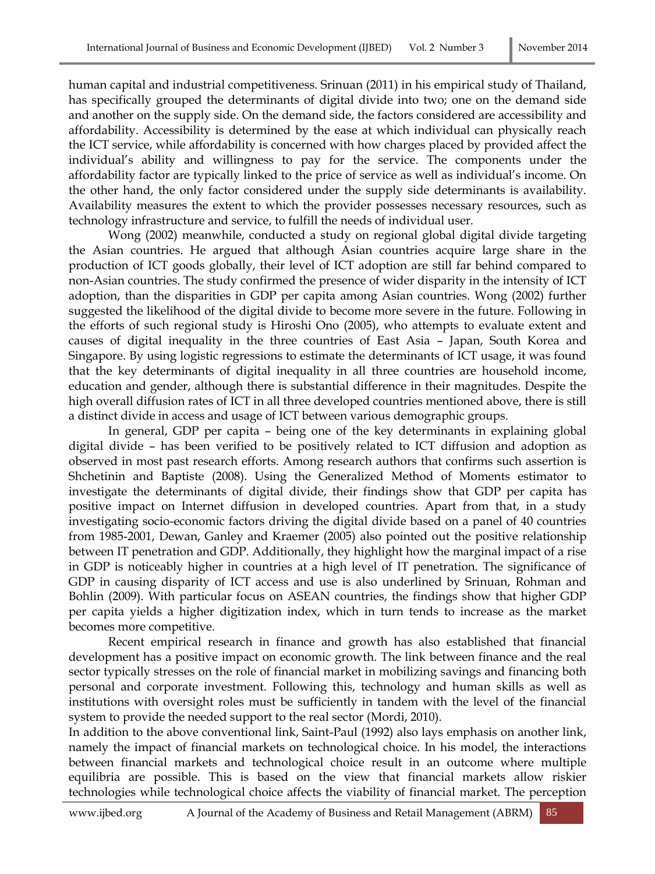human capital and industrial competitiveness. Srinuan (2011) in his empirical study of Thailand, has specifically grouped the determinants of digital divide into two; one on the demand side and another on the supply side. On the demand side, the factors considered are accessibility and affordability. Accessibility is determined by the ease at which individual can physically reach the ICT service, while affordability is concerned with how charges placed by provided affect the individual's ability and willingness to pay for the service. The components under the affordability factor are typically linked to the price of service as well as individual's income. On the other hand, the only factor considered under the supply side determinants is availability. Availability measures the extent to which the provider possesses necessary resources, such as technology infrastructure and service, to fulfill the needs of individual user.

Wong (2002) meanwhile, conducted a study on regional global digital divide targeting the Asian countries. He argued that although Asian countries acquire large share in the production of ICT goods globally, their level of ICT adoption are still far behind compared to non-Asian countries. The study confirmed the presence of wider disparity in the intensity of ICT adoption, than the disparities in GDP per capita among Asian countries. Wong (2002) further suggested the likelihood of the digital divide to become more severe in the future. Following in the efforts of such regional study is Hiroshi Ono (2005), who attempts to evaluate extent and causes of digital inequality in the three countries of East Asia – Japan, South Korea and Singapore. By using logistic regressions to estimate the determinants of ICT usage, it was found that the key determinants of digital inequality in all three countries are household income, education and gender, although there is substantial difference in their magnitudes. Despite the high overall diffusion rates of ICT in all three developed countries mentioned above, there is still a distinct divide in access and usage of ICT between various demographic groups.

In general, GDP per capita – being one of the key determinants in explaining global digital divide – has been verified to be positively related to ICT diffusion and adoption as observed in most past research efforts. Among research authors that confirms such assertion is Shchetinin and Baptiste (2008). Using the Generalized Method of Moments estimator to investigate the determinants of digital divide, their findings show that GDP per capita has positive impact on Internet diffusion in developed countries. Apart from that, in a study investigating socio-economic factors driving the digital divide based on a panel of 40 countries from 1985-2001, Dewan, Ganley and Kraemer (2005) also pointed out the positive relationship between IT penetration and GDP. Additionally, they highlight how the marginal impact of a rise in GDP is noticeably higher in countries at a high level of IT penetration. The significance of GDP in causing disparity of ICT access and use is also underlined by Srinuan, Rohman and Bohlin (2009). With particular focus on ASEAN countries, the findings show that higher GDP per capita yields a higher digitization index, which in turn tends to increase as the market becomes more competitive.

Recent empirical research in finance and growth has also established that financial development has a positive impact on economic growth. The link between finance and the real sector typically stresses on the role of financial market in mobilizing savings and financing both personal and corporate investment. Following this, technology and human skills as well as institutions with oversight roles must be sufficiently in tandem with the level of the financial system to provide the needed support to the real sector (Mordi, 2010).

In addition to the above conventional link, Saint-Paul (1992) also lays emphasis on another link, namely the impact of financial markets on technological choice. In his model, the interactions between financial markets and technological choice result in an outcome where multiple equilibria are possible. This is based on the view that financial markets allow riskier technologies while technological choice affects the viability of financial market. The perception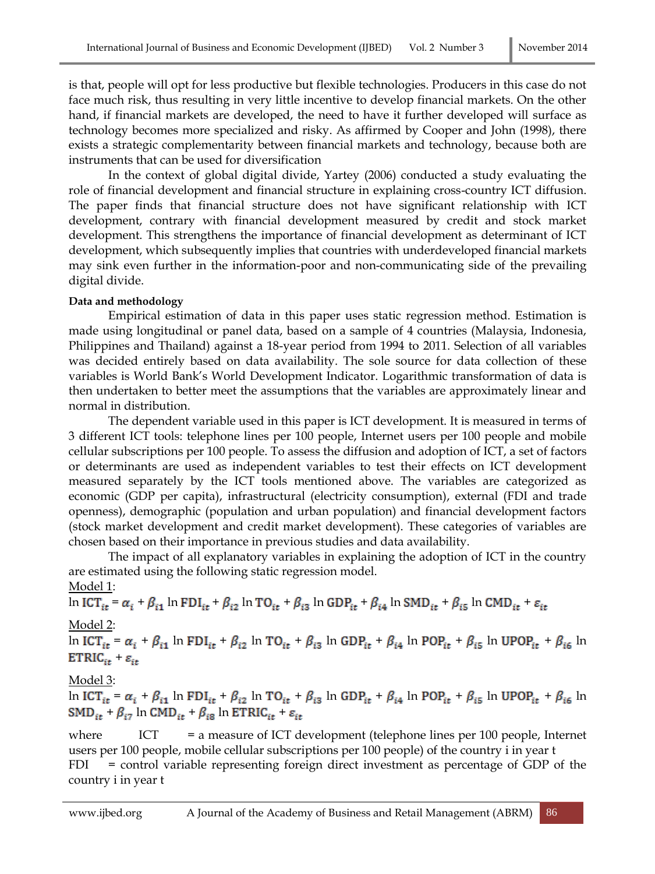is that, people will opt for less productive but flexible technologies. Producers in this case do not face much risk, thus resulting in very little incentive to develop financial markets. On the other hand, if financial markets are developed, the need to have it further developed will surface as technology becomes more specialized and risky. As affirmed by Cooper and John (1998), there exists a strategic complementarity between financial markets and technology, because both are instruments that can be used for diversification

In the context of global digital divide, Yartey (2006) conducted a study evaluating the role of financial development and financial structure in explaining cross-country ICT diffusion. The paper finds that financial structure does not have significant relationship with ICT development, contrary with financial development measured by credit and stock market development. This strengthens the importance of financial development as determinant of ICT development, which subsequently implies that countries with underdeveloped financial markets may sink even further in the information-poor and non-communicating side of the prevailing digital divide.

### **Data and methodology**

Empirical estimation of data in this paper uses static regression method. Estimation is made using longitudinal or panel data, based on a sample of 4 countries (Malaysia, Indonesia, Philippines and Thailand) against a 18-year period from 1994 to 2011. Selection of all variables was decided entirely based on data availability. The sole source for data collection of these variables is World Bank's World Development Indicator. Logarithmic transformation of data is then undertaken to better meet the assumptions that the variables are approximately linear and normal in distribution.

The dependent variable used in this paper is ICT development. It is measured in terms of 3 different ICT tools: telephone lines per 100 people, Internet users per 100 people and mobile cellular subscriptions per 100 people. To assess the diffusion and adoption of ICT, a set of factors or determinants are used as independent variables to test their effects on ICT development measured separately by the ICT tools mentioned above. The variables are categorized as economic (GDP per capita), infrastructural (electricity consumption), external (FDI and trade openness), demographic (population and urban population) and financial development factors (stock market development and credit market development). These categories of variables are chosen based on their importance in previous studies and data availability.

The impact of all explanatory variables in explaining the adoption of ICT in the country are estimated using the following static regression model.

# Model 1:

$$
\ln \text{ICT}_{it} = \alpha_i + \beta_{i1} \ln \text{FDI}_{it} + \beta_{i2} \ln \text{TO}_{it} + \beta_{i3} \ln \text{GDP}_{it} + \beta_{i4} \ln \text{SMD}_{it} + \beta_{i5} \ln \text{CMD}_{it} + \varepsilon_{it}
$$

# Model 2:

ln ICT<sub>it</sub> =  $\alpha_i$  +  $\beta_{i1}$  ln FDI<sub>it</sub> +  $\beta_{i2}$  ln TO<sub>it</sub> +  $\beta_{i3}$  ln GDP<sub>it</sub> +  $\beta_{i4}$  ln POP<sub>it</sub> +  $\beta_{i5}$  ln UPOP<sub>it</sub> +  $\beta_{i6}$  ln  $ETRIC_{it} + \varepsilon_{it}$ 

# Model 3:

ln  $\text{ICT}_{it} = \alpha_i + \beta_{i1}$ ln  $\text{FDI}_{it} + \beta_{i2}$ ln T<br/>O $_{it} + \beta_{i3}$ ln GDP $_{it} + \beta_{i4}$ ln POP $_{it} + \beta_{i5}$ ln UPOP<br/> $_{it} + \beta_{i6}$ ln  $SMD_{it} + \beta_{i7}$  ln  $CMD_{it} + \beta_{i8}$  ln ETRIC<sub>it</sub> +  $\varepsilon_{it}$ 

where ICT = a measure of ICT development (telephone lines per 100 people, Internet users per 100 people, mobile cellular subscriptions per 100 people) of the country i in year t FDI = control variable representing foreign direct investment as percentage of GDP of the country i in year t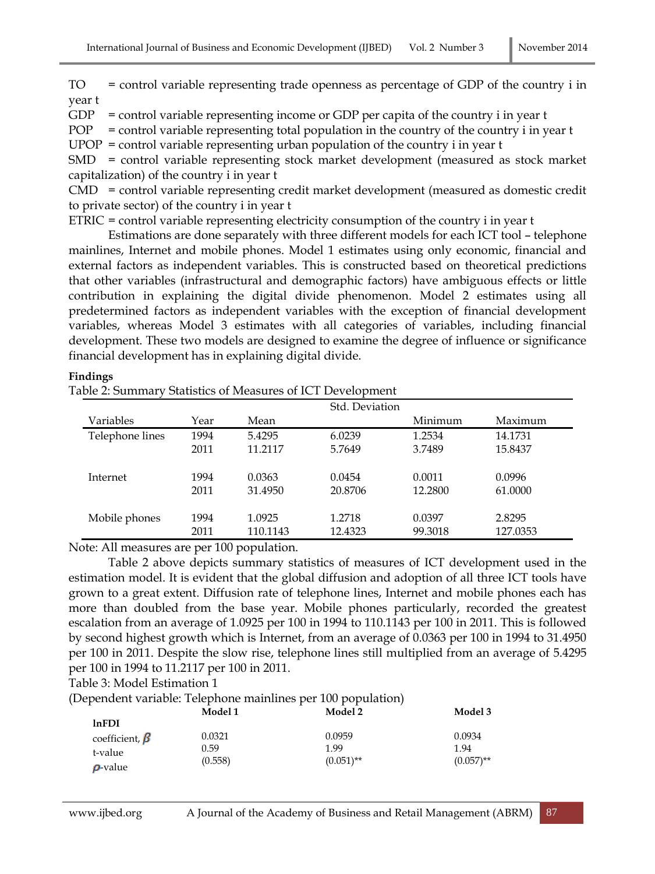TO = control variable representing trade openness as percentage of GDP of the country i in year t

 $GDP$  = control variable representing income or  $GDP$  per capita of the country i in year t

 $POP = control variable representing total population in the country of the country i in year t$ 

 $UPOP =$  control variable representing urban population of the country i in year t

SMD = control variable representing stock market development (measured as stock market capitalization) of the country i in year t

CMD = control variable representing credit market development (measured as domestic credit to private sector) of the country i in year t

ETRIC = control variable representing electricity consumption of the country i in year t

Estimations are done separately with three different models for each ICT tool – telephone mainlines, Internet and mobile phones. Model 1 estimates using only economic, financial and external factors as independent variables. This is constructed based on theoretical predictions that other variables (infrastructural and demographic factors) have ambiguous effects or little contribution in explaining the digital divide phenomenon. Model 2 estimates using all predetermined factors as independent variables with the exception of financial development variables, whereas Model 3 estimates with all categories of variables, including financial development. These two models are designed to examine the degree of influence or significance financial development has in explaining digital divide.

### **Findings**

Table 2: Summary Statistics of Measures of ICT Development

|                 |      |          | Std. Deviation |         |          |
|-----------------|------|----------|----------------|---------|----------|
| Variables       | Year | Mean     |                | Minimum | Maximum  |
| Telephone lines | 1994 | 5.4295   | 6.0239         | 1.2534  | 14.1731  |
|                 | 2011 | 11.2117  | 5.7649         | 3.7489  | 15.8437  |
| Internet        | 1994 | 0.0363   | 0.0454         | 0.0011  | 0.0996   |
|                 | 2011 | 31.4950  | 20.8706        | 12.2800 | 61.0000  |
| Mobile phones   | 1994 | 1.0925   | 1.2718         | 0.0397  | 2.8295   |
|                 | 2011 | 110.1143 | 12.4323        | 99.3018 | 127.0353 |

Note: All measures are per 100 population.

Table 2 above depicts summary statistics of measures of ICT development used in the estimation model. It is evident that the global diffusion and adoption of all three ICT tools have grown to a great extent. Diffusion rate of telephone lines, Internet and mobile phones each has more than doubled from the base year. Mobile phones particularly, recorded the greatest escalation from an average of 1.0925 per 100 in 1994 to 110.1143 per 100 in 2011. This is followed by second highest growth which is Internet, from an average of 0.0363 per 100 in 1994 to 31.4950 per 100 in 2011. Despite the slow rise, telephone lines still multiplied from an average of 5.4295 per 100 in 1994 to 11.2117 per 100 in 2011.

Table 3: Model Estimation 1

(Dependent variable: Telephone mainlines per 100 population)

|                      | Model 1 | Model 2      | Model 3      |
|----------------------|---------|--------------|--------------|
| <b>lnFDI</b>         |         |              |              |
| coefficient, $\beta$ | 0.0321  | 0.0959       | 0.0934       |
| t-value              | 0.59    | 1.99         | 1.94         |
|                      | (0.558) | $(0.051)$ ** | $(0.057)$ ** |
| $\rho$ -value        |         |              |              |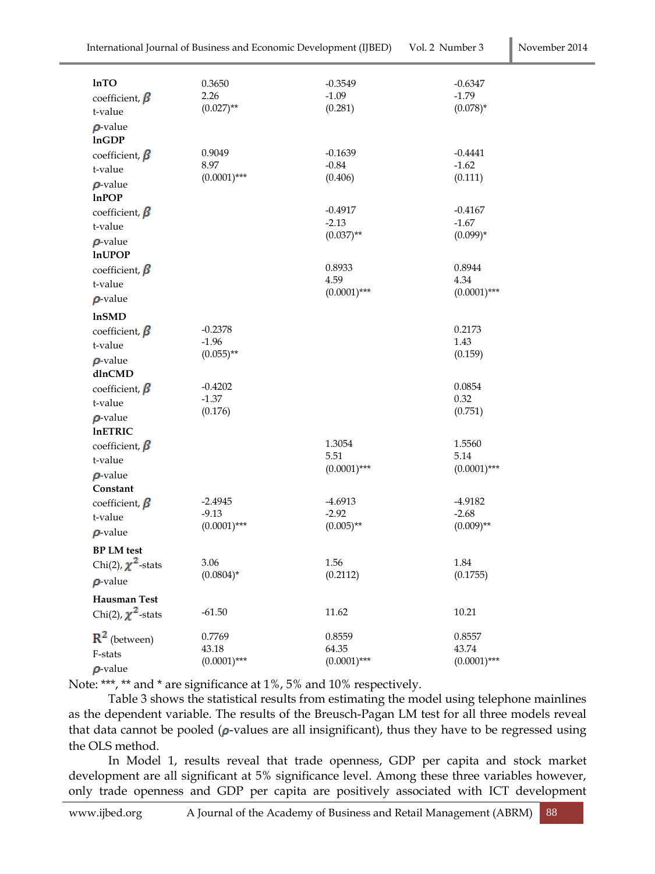| <b>lnTO</b><br>coefficient, $\beta$<br>t-value   | 0.3650<br>2.26<br>$(0.027)$ **         | $-0.3549$<br>$-1.09$<br>(0.281)      | $-0.6347$<br>$-1.79$<br>$(0.078)$ *  |
|--------------------------------------------------|----------------------------------------|--------------------------------------|--------------------------------------|
| $\rho$ -value<br><b>InGDP</b>                    |                                        |                                      |                                      |
| coefficient, $\beta$<br>t-value                  | 0.9049<br>8.97<br>$(0.0001)$ ***       | $-0.1639$<br>$-0.84$<br>(0.406)      | -0.4441<br>$-1.62$<br>(0.111)        |
| $\rho$ -value<br><b>InPOP</b>                    |                                        |                                      |                                      |
| coefficient, $\beta$<br>t-value                  |                                        | $-0.4917$<br>$-2.13$                 | $-0.4167$<br>$-1.67$                 |
| $\rho$ -value<br><b>lnUPOP</b>                   |                                        | $(0.037)$ **                         | $(0.099)*$                           |
| coefficient, $\beta$<br>t-value                  |                                        | 0.8933<br>4.59                       | 0.8944<br>4.34                       |
| $\rho$ -value                                    |                                        | $(0.0001)$ ***                       | $(0.0001)$ ***                       |
| <b>lnSMD</b>                                     |                                        |                                      |                                      |
| coefficient, $\beta$<br>t-value                  | $-0.2378$<br>$-1.96$<br>$(0.055)$ **   |                                      | 0.2173<br>1.43<br>(0.159)            |
| $\rho$ -value<br>dlnCMD                          |                                        |                                      |                                      |
| coefficient, $\beta$<br>t-value                  | $-0.4202$<br>$-1.37$                   |                                      | 0.0854<br>0.32                       |
| $\rho$ -value<br><b>InETRIC</b>                  | (0.176)                                |                                      | (0.751)                              |
| coefficient, $\beta$<br>t-value                  |                                        | 1.3054<br>5.51                       | 1.5560<br>5.14                       |
| $\rho$ -value<br>Constant                        |                                        | $(0.0001)$ ***                       | $(0.0001)$ ***                       |
| coefficient, $\beta$<br>t-value<br>$\rho$ -value | $-2.4945$<br>$-9.13$<br>$(0.0001)$ *** | $-4.6913$<br>$-2.92$<br>$(0.005)$ ** | $-4.9182$<br>$-2.68$<br>$(0.009)$ ** |
| <b>BP LM</b> test                                |                                        |                                      |                                      |
| Chi(2), $\chi^2$ -stats                          | 3.06<br>$(0.0804)^*$                   | 1.56<br>(0.2112)                     | 1.84<br>(0.1755)                     |
| $\rho$ -value                                    |                                        |                                      |                                      |
| <b>Hausman Test</b><br>Chi(2), $\chi^2$ -stats   | $-61.50$                               | 11.62                                | 10.21                                |
| $R^2$ (between)<br>F-stats                       | 0.7769<br>43.18<br>$(0.0001)$ ***      | 0.8559<br>64.35<br>$(0.0001)$ ***    | 0.8557<br>43.74<br>$(0.0001)$ ***    |

 $\rho$ -value

Note: \*\*\*, \*\* and \* are significance at 1%, 5% and 10% respectively.

Table 3 shows the statistical results from estimating the model using telephone mainlines as the dependent variable. The results of the Breusch-Pagan LM test for all three models reveal that data cannot be pooled  $(\rho$ -values are all insignificant), thus they have to be regressed using the OLS method.

In Model 1, results reveal that trade openness, GDP per capita and stock market development are all significant at 5% significance level. Among these three variables however, only trade openness and GDP per capita are positively associated with ICT development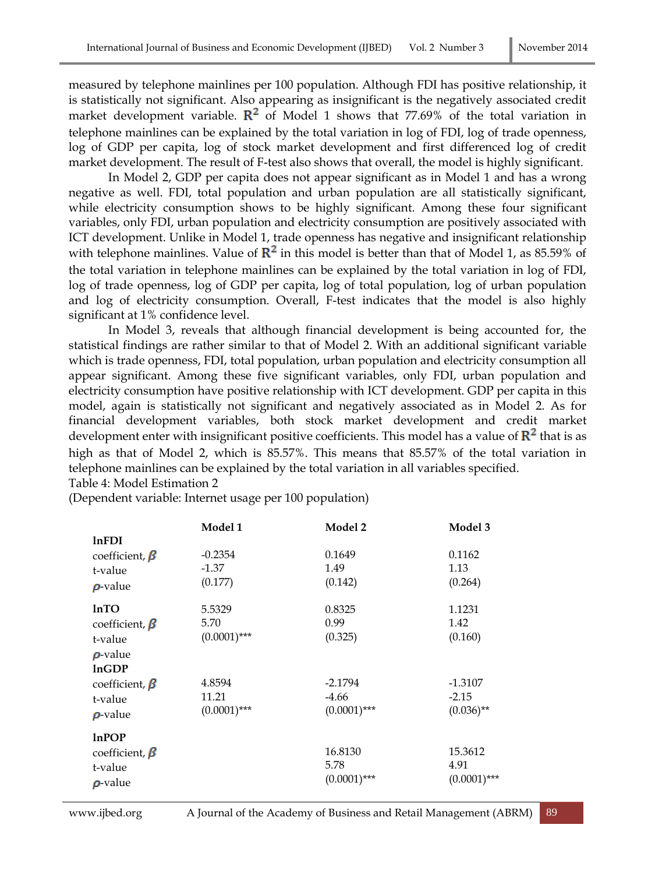measured by telephone mainlines per 100 population. Although FDI has positive relationship, it is statistically not significant. Also appearing as insignificant is the negatively associated credit market development variable.  $\mathbb{R}^2$  of Model 1 shows that 77.69% of the total variation in telephone mainlines can be explained by the total variation in log of FDI, log of trade openness, log of GDP per capita, log of stock market development and first differenced log of credit market development. The result of F-test also shows that overall, the model is highly significant.

In Model 2, GDP per capita does not appear significant as in Model 1 and has a wrong negative as well. FDI, total population and urban population are all statistically significant, while electricity consumption shows to be highly significant. Among these four significant variables, only FDI, urban population and electricity consumption are positively associated with ICT development. Unlike in Model 1, trade openness has negative and insignificant relationship with telephone mainlines. Value of  $\mathbb{R}^2$  in this model is better than that of Model 1, as 85.59% of the total variation in telephone mainlines can be explained by the total variation in log of FDI, log of trade openness, log of GDP per capita, log of total population, log of urban population and log of electricity consumption. Overall, F-test indicates that the model is also highly significant at 1% confidence level.

In Model 3, reveals that although financial development is being accounted for, the statistical findings are rather similar to that of Model 2. With an additional significant variable which is trade openness, FDI, total population, urban population and electricity consumption all appear significant. Among these five significant variables, only FDI, urban population and electricity consumption have positive relationship with ICT development. GDP per capita in this model, again is statistically not significant and negatively associated as in Model 2. As for financial development variables, both stock market development and credit market development enter with insignificant positive coefficients. This model has a value of  $R^2$  that is as high as that of Model 2, which is 85.57%. This means that 85.57% of the total variation in telephone mainlines can be explained by the total variation in all variables specified. Table 4: Model Estimation 2

(Dependent variable: Internet usage per 100 population)

|                                                                         | Model 1                           | Model 2                                | Model 3                              |
|-------------------------------------------------------------------------|-----------------------------------|----------------------------------------|--------------------------------------|
| lnFDI<br>coefficient, $\beta$<br>t-value<br>$\rho$ value                | $-0.2354$<br>$-1.37$<br>(0.177)   | 0.1649<br>1.49<br>(0.142)              | 0.1162<br>1.13<br>(0.264)            |
| <b>lnTO</b><br>coefficient, $\beta$<br>t-value<br>$\rho$ value<br>lnGDP | 5.5329<br>5.70<br>$(0.0001)$ ***  | 0.8325<br>0.99<br>(0.325)              | 1.1231<br>1.42<br>(0.160)            |
| coefficient, $\beta$<br>t-value<br>$\rho$ value                         | 4.8594<br>11.21<br>$(0.0001)$ *** | $-2.1794$<br>$-4.66$<br>$(0.0001)$ *** | $-1.3107$<br>$-2.15$<br>$(0.036)$ ** |
| lnPOP<br>coefficient, $\beta$<br>t-value<br>$\rho$ -value               |                                   | 16.8130<br>5.78<br>$(0.0001)$ ***      | 15.3612<br>4.91<br>$(0.0001)$ ***    |

www.ijbed.org A Journal of the Academy of Business and Retail Management (ABRM) 89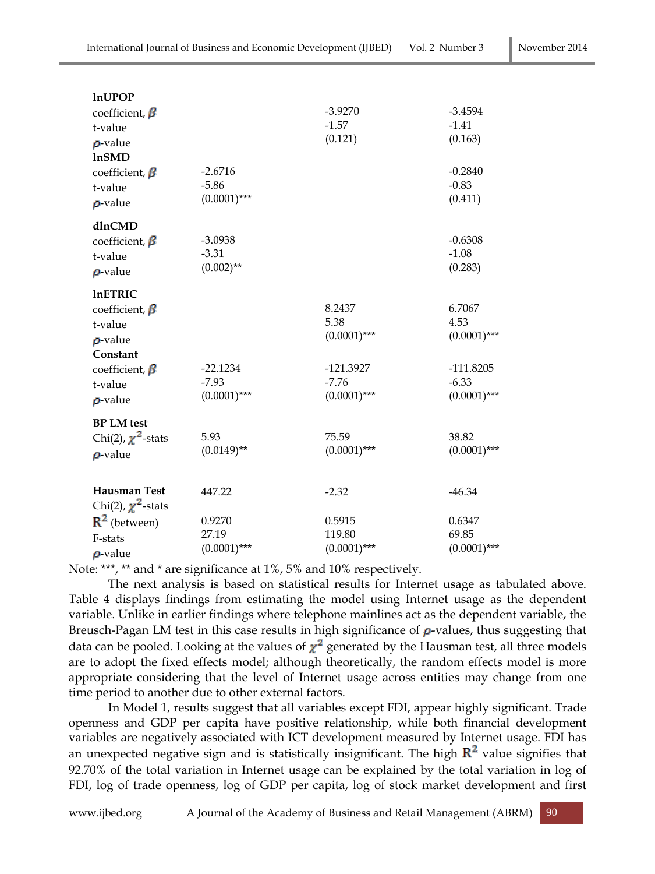| <b>InUPOP</b>           |                |                |                |
|-------------------------|----------------|----------------|----------------|
| coefficient, $\beta$    |                | $-3.9270$      | $-3.4594$      |
| t-value                 |                | $-1.57$        | $-1.41$        |
| $\rho$ -value           |                | (0.121)        | (0.163)        |
| <b>lnSMD</b>            |                |                |                |
| coefficient, $\beta$    | $-2.6716$      |                | $-0.2840$      |
| t-value                 | $-5.86$        |                | $-0.83$        |
| $\rho$ -value           | $(0.0001)$ *** |                | (0.411)        |
| dlnCMD                  |                |                |                |
| coefficient, $\beta$    | $-3.0938$      |                | $-0.6308$      |
| t-value                 | $-3.31$        |                | $-1.08$        |
| $\rho$ -value           | $(0.002)$ **   |                | (0.283)        |
| <b>InETRIC</b>          |                |                |                |
| coefficient, $\beta$    |                | 8.2437         | 6.7067         |
| t-value                 |                | 5.38           | 4.53           |
| $\rho$ value            |                | $(0.0001)$ *** | $(0.0001)$ *** |
| Constant                |                |                |                |
| coefficient, $\beta$    | $-22.1234$     | $-121.3927$    | $-111.8205$    |
| t-value                 | $-7.93$        | $-7.76$        | $-6.33$        |
| $\rho$ value            | $(0.0001)$ *** | $(0.0001)$ *** | $(0.0001)$ *** |
| <b>BP LM</b> test       |                |                |                |
| Chi(2), $\chi^2$ -stats | 5.93           | 75.59          | 38.82          |
| $\rho$ -value           | $(0.0149)$ **  | $(0.0001)$ *** | $(0.0001)$ *** |
| <b>Hausman Test</b>     | 447.22         | $-2.32$        | $-46.34$       |
| Chi(2), $\chi^2$ -stats |                |                |                |
| $R^2$ (between)         | 0.9270         | 0.5915         | 0.6347         |
| F-stats                 | 27.19          | 119.80         | 69.85          |
|                         | $(0.0001)$ *** | $(0.0001)$ *** | $(0.0001)$ *** |
| $\rho$ value            |                |                |                |

Note: \*\*\*, \*\* and \* are significance at 1%, 5% and 10% respectively.

The next analysis is based on statistical results for Internet usage as tabulated above. Table 4 displays findings from estimating the model using Internet usage as the dependent variable. Unlike in earlier findings where telephone mainlines act as the dependent variable, the Breusch-Pagan LM test in this case results in high significance of  $\rho$ -values, thus suggesting that data can be pooled. Looking at the values of  $\chi^2$  generated by the Hausman test, all three models are to adopt the fixed effects model; although theoretically, the random effects model is more appropriate considering that the level of Internet usage across entities may change from one time period to another due to other external factors.

In Model 1, results suggest that all variables except FDI, appear highly significant. Trade openness and GDP per capita have positive relationship, while both financial development variables are negatively associated with ICT development measured by Internet usage. FDI has an unexpected negative sign and is statistically insignificant. The high  $R^2$  value signifies that 92.70% of the total variation in Internet usage can be explained by the total variation in log of FDI, log of trade openness, log of GDP per capita, log of stock market development and first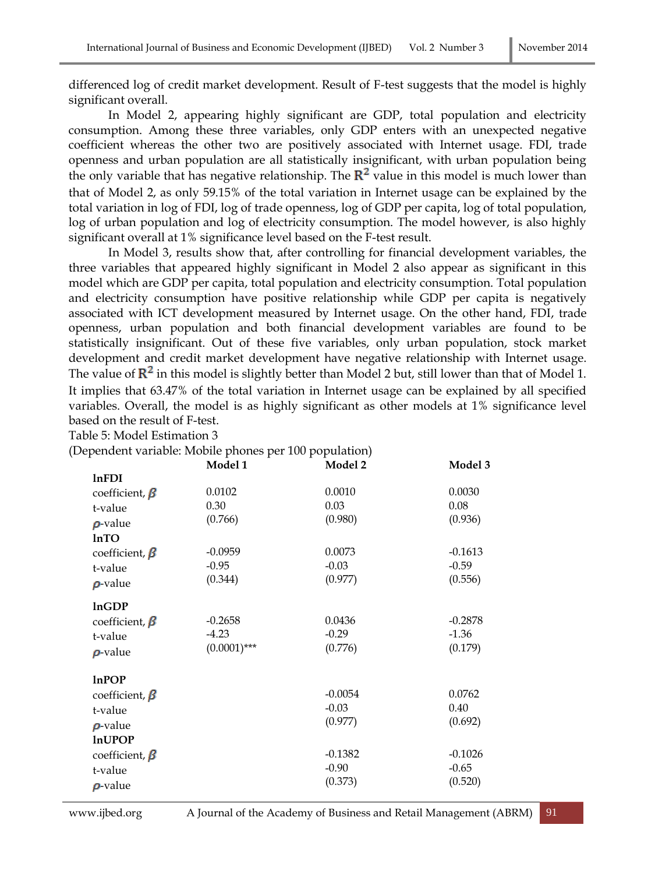differenced log of credit market development. Result of F-test suggests that the model is highly significant overall.

In Model 2, appearing highly significant are GDP, total population and electricity consumption. Among these three variables, only GDP enters with an unexpected negative coefficient whereas the other two are positively associated with Internet usage. FDI, trade openness and urban population are all statistically insignificant, with urban population being the only variable that has negative relationship. The  $\mathbb{R}^2$  value in this model is much lower than that of Model 2, as only 59.15% of the total variation in Internet usage can be explained by the total variation in log of FDI, log of trade openness, log of GDP per capita, log of total population, log of urban population and log of electricity consumption. The model however, is also highly significant overall at 1% significance level based on the F-test result.

In Model 3, results show that, after controlling for financial development variables, the three variables that appeared highly significant in Model 2 also appear as significant in this model which are GDP per capita, total population and electricity consumption. Total population and electricity consumption have positive relationship while GDP per capita is negatively associated with ICT development measured by Internet usage. On the other hand, FDI, trade openness, urban population and both financial development variables are found to be statistically insignificant. Out of these five variables, only urban population, stock market development and credit market development have negative relationship with Internet usage. The value of  $\mathbb{R}^2$  in this model is slightly better than Model 2 but, still lower than that of Model 1. It implies that 63.47% of the total variation in Internet usage can be explained by all specified variables. Overall, the model is as highly significant as other models at 1% significance level based on the result of F-test.

Table 5: Model Estimation 3

(Dependent variable: Mobile phones per 100 population)

|                      | . .<br>Model 1 | Model 2   | Model 3   |
|----------------------|----------------|-----------|-----------|
| <b>lnFDI</b>         |                |           |           |
| coefficient, $\beta$ | 0.0102         | 0.0010    | 0.0030    |
| t-value              | 0.30           | 0.03      | 0.08      |
| $\rho$ -value        | (0.766)        | (0.980)   | (0.936)   |
| <b>InTO</b>          |                |           |           |
| coefficient, $\beta$ | $-0.0959$      | 0.0073    | $-0.1613$ |
| t-value              | $-0.95$        | $-0.03$   | $-0.59$   |
| $\rho$ value         | (0.344)        | (0.977)   | (0.556)   |
| <b>InGDP</b>         |                |           |           |
| coefficient, $\beta$ | $-0.2658$      | 0.0436    | $-0.2878$ |
| t-value              | $-4.23$        | $-0.29$   | $-1.36$   |
| $\rho$ -value        | $(0.0001)$ *** | (0.776)   | (0.179)   |
| <b>lnPOP</b>         |                |           |           |
| coefficient, $\beta$ |                | $-0.0054$ | 0.0762    |
| t-value              |                | $-0.03$   | 0.40      |
| $\rho$ -value        |                | (0.977)   | (0.692)   |
| <b>InUPOP</b>        |                |           |           |
| coefficient, $\beta$ |                | $-0.1382$ | $-0.1026$ |
| t-value              |                | $-0.90$   | $-0.65$   |
|                      |                | (0.373)   | (0.520)   |
| $\rho$ value         |                |           |           |

www.ijbed.org A Journal of the Academy of Business and Retail Management (ABRM) 91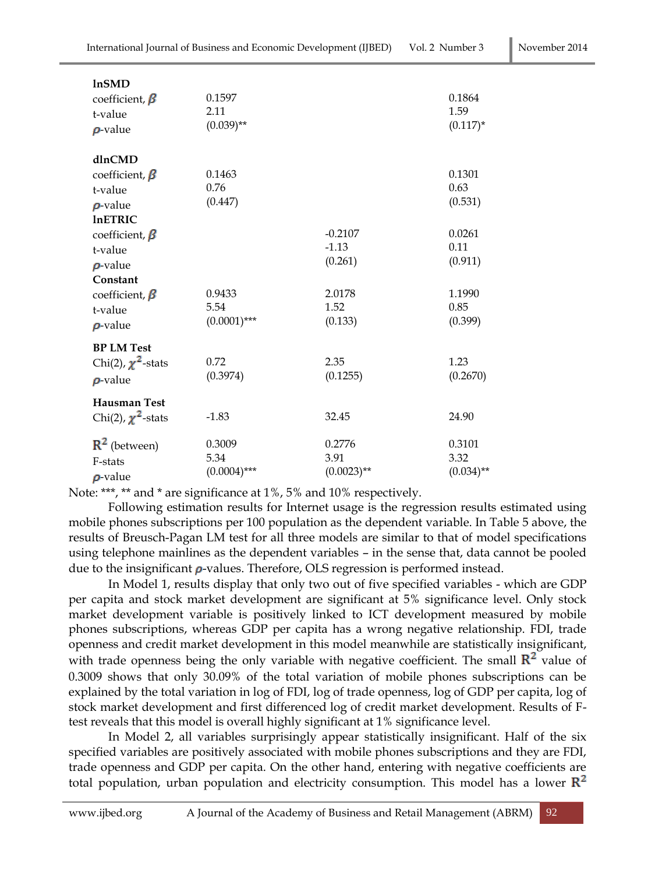| <b>lnSMD</b><br>coefficient, $\beta$<br>t-value<br>$\rho$ value                                | 0.1597<br>2.11<br>$(0.039)$ **   |                                                              | 0.1864<br>1.59<br>$(0.117)^*$                          |
|------------------------------------------------------------------------------------------------|----------------------------------|--------------------------------------------------------------|--------------------------------------------------------|
| dlnCMD<br>coefficient, $\beta$<br>t-value<br>$\rho$ value<br><b>InETRIC</b>                    | 0.1463<br>0.76<br>(0.447)        |                                                              | 0.1301<br>0.63<br>(0.531)                              |
| coefficient, $\beta$<br>t-value<br>$\rho$ value<br>Constant<br>coefficient, $\beta$<br>t-value | 0.9433<br>5.54<br>$(0.0001)$ *** | $-0.2107$<br>$-1.13$<br>(0.261)<br>2.0178<br>1.52<br>(0.133) | 0.0261<br>0.11<br>(0.911)<br>1.1990<br>0.85<br>(0.399) |
| $\rho$ -value<br><b>BP LM Test</b><br>Chi(2), $\chi^2$ -stats<br>$\rho$ -value                 | 0.72<br>(0.3974)                 | 2.35<br>(0.1255)                                             | 1.23<br>(0.2670)                                       |
| <b>Hausman Test</b><br>Chi(2), $\chi^2$ -stats                                                 | $-1.83$                          | 32.45                                                        | 24.90                                                  |
| $R^2$ (between)<br>F-stats<br>$\rho$ value                                                     | 0.3009<br>5.34<br>$(0.0004)$ *** | 0.2776<br>3.91<br>$(0.0023)$ **                              | 0.3101<br>3.32<br>$(0.034)$ **                         |

Note: \*\*\*, \*\* and \* are significance at 1%, 5% and 10% respectively.

Following estimation results for Internet usage is the regression results estimated using mobile phones subscriptions per 100 population as the dependent variable. In Table 5 above, the results of Breusch-Pagan LM test for all three models are similar to that of model specifications using telephone mainlines as the dependent variables – in the sense that, data cannot be pooled due to the insignificant  $\rho$ -values. Therefore, OLS regression is performed instead.

In Model 1, results display that only two out of five specified variables - which are GDP per capita and stock market development are significant at 5% significance level. Only stock market development variable is positively linked to ICT development measured by mobile phones subscriptions, whereas GDP per capita has a wrong negative relationship. FDI, trade openness and credit market development in this model meanwhile are statistically insignificant, with trade openness being the only variable with negative coefficient. The small  $R^2$  value of 0.3009 shows that only 30.09% of the total variation of mobile phones subscriptions can be explained by the total variation in log of FDI, log of trade openness, log of GDP per capita, log of stock market development and first differenced log of credit market development. Results of Ftest reveals that this model is overall highly significant at 1% significance level.

In Model 2, all variables surprisingly appear statistically insignificant. Half of the six specified variables are positively associated with mobile phones subscriptions and they are FDI, trade openness and GDP per capita. On the other hand, entering with negative coefficients are total population, urban population and electricity consumption. This model has a lower  $\mathbb{R}^2$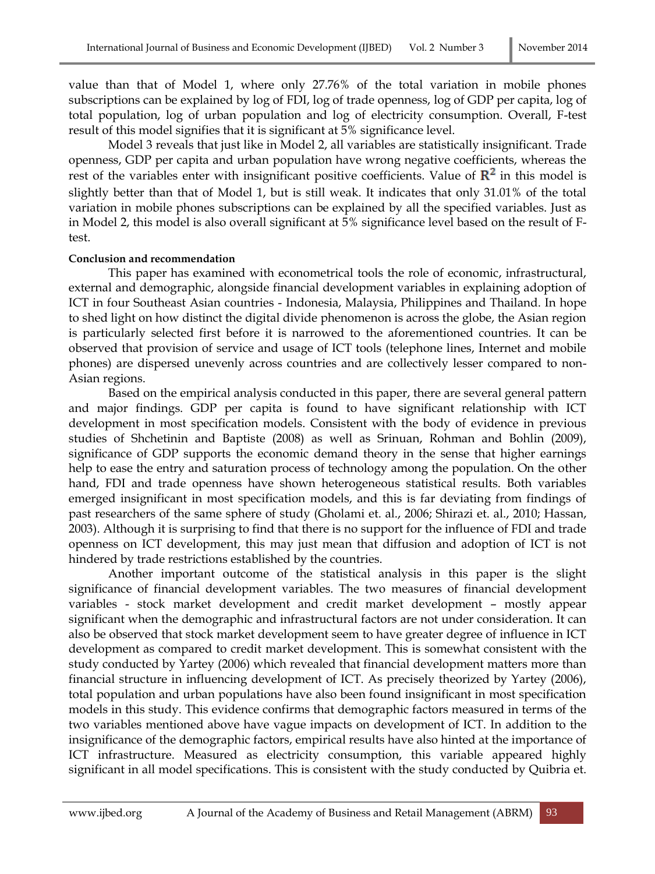value than that of Model 1, where only 27.76% of the total variation in mobile phones subscriptions can be explained by log of FDI, log of trade openness, log of GDP per capita, log of total population, log of urban population and log of electricity consumption. Overall, F-test result of this model signifies that it is significant at 5% significance level.

Model 3 reveals that just like in Model 2, all variables are statistically insignificant. Trade openness, GDP per capita and urban population have wrong negative coefficients, whereas the rest of the variables enter with insignificant positive coefficients. Value of  $\mathbb{R}^2$  in this model is slightly better than that of Model 1, but is still weak. It indicates that only 31.01% of the total variation in mobile phones subscriptions can be explained by all the specified variables. Just as in Model 2, this model is also overall significant at 5% significance level based on the result of Ftest.

### **Conclusion and recommendation**

This paper has examined with econometrical tools the role of economic, infrastructural, external and demographic, alongside financial development variables in explaining adoption of ICT in four Southeast Asian countries - Indonesia, Malaysia, Philippines and Thailand. In hope to shed light on how distinct the digital divide phenomenon is across the globe, the Asian region is particularly selected first before it is narrowed to the aforementioned countries. It can be observed that provision of service and usage of ICT tools (telephone lines, Internet and mobile phones) are dispersed unevenly across countries and are collectively lesser compared to non-Asian regions.

Based on the empirical analysis conducted in this paper, there are several general pattern and major findings. GDP per capita is found to have significant relationship with ICT development in most specification models. Consistent with the body of evidence in previous studies of Shchetinin and Baptiste (2008) as well as Srinuan, Rohman and Bohlin (2009), significance of GDP supports the economic demand theory in the sense that higher earnings help to ease the entry and saturation process of technology among the population. On the other hand, FDI and trade openness have shown heterogeneous statistical results. Both variables emerged insignificant in most specification models, and this is far deviating from findings of past researchers of the same sphere of study (Gholami et. al., 2006; Shirazi et. al., 2010; Hassan, 2003). Although it is surprising to find that there is no support for the influence of FDI and trade openness on ICT development, this may just mean that diffusion and adoption of ICT is not hindered by trade restrictions established by the countries.

Another important outcome of the statistical analysis in this paper is the slight significance of financial development variables. The two measures of financial development variables - stock market development and credit market development – mostly appear significant when the demographic and infrastructural factors are not under consideration. It can also be observed that stock market development seem to have greater degree of influence in ICT development as compared to credit market development. This is somewhat consistent with the study conducted by Yartey (2006) which revealed that financial development matters more than financial structure in influencing development of ICT. As precisely theorized by Yartey (2006), total population and urban populations have also been found insignificant in most specification models in this study. This evidence confirms that demographic factors measured in terms of the two variables mentioned above have vague impacts on development of ICT. In addition to the insignificance of the demographic factors, empirical results have also hinted at the importance of ICT infrastructure. Measured as electricity consumption, this variable appeared highly significant in all model specifications. This is consistent with the study conducted by Quibria et.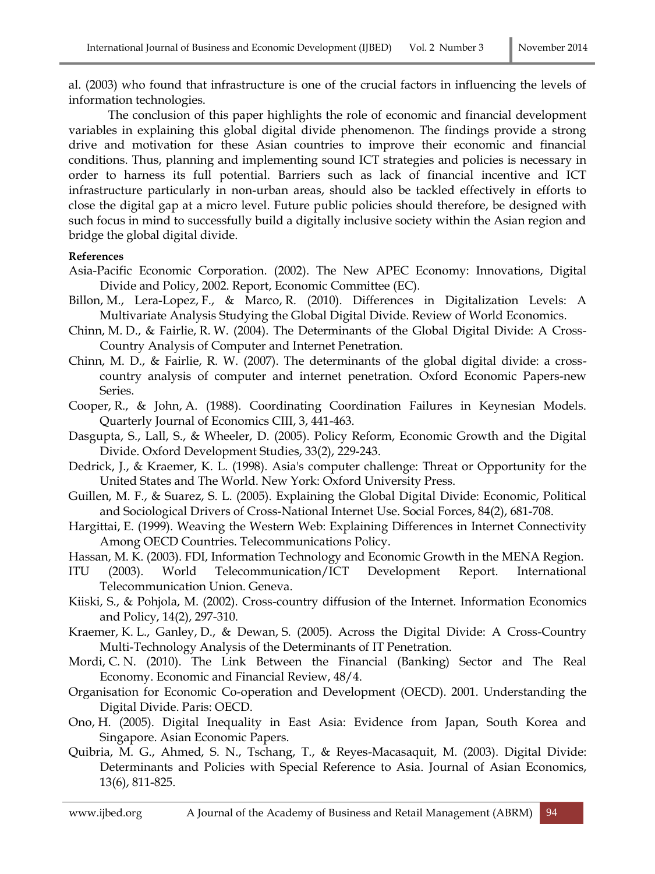al. (2003) who found that infrastructure is one of the crucial factors in influencing the levels of information technologies.

The conclusion of this paper highlights the role of economic and financial development variables in explaining this global digital divide phenomenon. The findings provide a strong drive and motivation for these Asian countries to improve their economic and financial conditions. Thus, planning and implementing sound ICT strategies and policies is necessary in order to harness its full potential. Barriers such as lack of financial incentive and ICT infrastructure particularly in non-urban areas, should also be tackled effectively in efforts to close the digital gap at a micro level. Future public policies should therefore, be designed with such focus in mind to successfully build a digitally inclusive society within the Asian region and bridge the global digital divide.

### **References**

- Asia-Pacific Economic Corporation. (2002). The New APEC Economy: Innovations, Digital Divide and Policy, 2002. Report, Economic Committee (EC).
- Billon, M., Lera-Lopez, F., & Marco, R. (2010). Differences in Digitalization Levels: A Multivariate Analysis Studying the Global Digital Divide. Review of World Economics.
- Chinn, M. D., & Fairlie, R. W. (2004). The Determinants of the Global Digital Divide: A Cross-Country Analysis of Computer and Internet Penetration.
- Chinn, M. D., & Fairlie, R. W. (2007). The determinants of the global digital divide: a crosscountry analysis of computer and internet penetration. Oxford Economic Papers-new Series.
- Cooper, R., & John, A. (1988). Coordinating Coordination Failures in Keynesian Models. Quarterly Journal of Economics CIII, 3, 441-463.
- Dasgupta, S., Lall, S., & Wheeler, D. (2005). Policy Reform, Economic Growth and the Digital Divide. Oxford Development Studies, 33(2), 229-243.
- Dedrick, J., & Kraemer, K. L. (1998). Asia's computer challenge: Threat or Opportunity for the United States and The World. New York: Oxford University Press.
- Guillen, M. F., & Suarez, S. L. (2005). Explaining the Global Digital Divide: Economic, Political and Sociological Drivers of Cross-National Internet Use. Social Forces, 84(2), 681-708.
- Hargittai, E. (1999). Weaving the Western Web: Explaining Differences in Internet Connectivity Among OECD Countries. Telecommunications Policy.
- Hassan, M. K. (2003). FDI, Information Technology and Economic Growth in the MENA Region.
- ITU (2003). World Telecommunication/ICT Development Report. International Telecommunication Union. Geneva.
- Kiiski, S., & Pohjola, M. (2002). Cross-country diffusion of the Internet. Information Economics and Policy, 14(2), 297-310.
- Kraemer, K. L., Ganley, D., & Dewan, S. (2005). Across the Digital Divide: A Cross-Country Multi-Technology Analysis of the Determinants of IT Penetration.
- Mordi, C. N. (2010). The Link Between the Financial (Banking) Sector and The Real Economy. Economic and Financial Review, 48/4.
- Organisation for Economic Co-operation and Development (OECD). 2001. Understanding the Digital Divide. Paris: OECD.
- Ono, H. (2005). Digital Inequality in East Asia: Evidence from Japan, South Korea and Singapore. Asian Economic Papers.
- Quibria, M. G., Ahmed, S. N., Tschang, T., & Reyes-Macasaquit, M. (2003). Digital Divide: Determinants and Policies with Special Reference to Asia. Journal of Asian Economics, 13(6), 811-825.